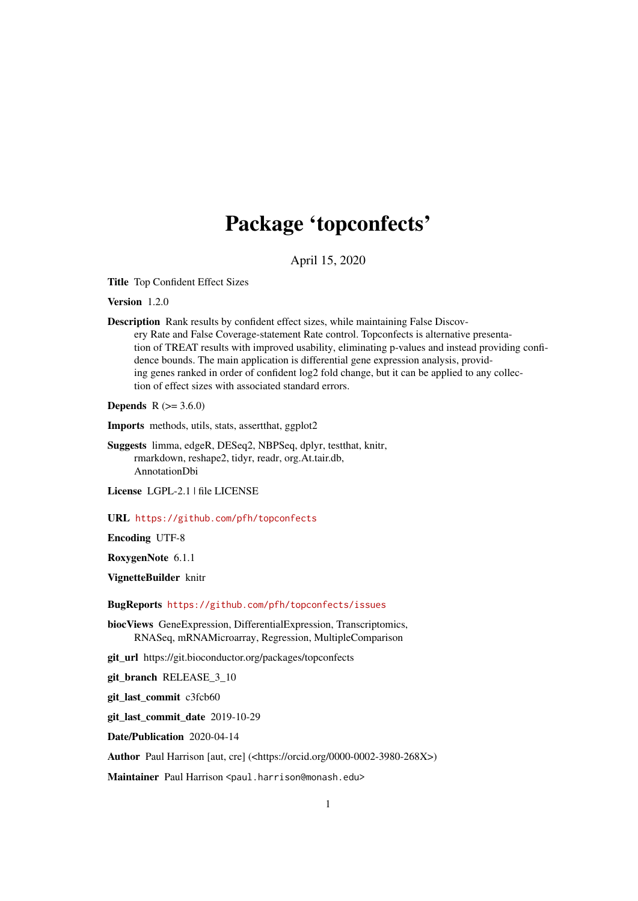## Package 'topconfects'

April 15, 2020

Title Top Confident Effect Sizes

Version 1.2.0

Description Rank results by confident effect sizes, while maintaining False Discovery Rate and False Coverage-statement Rate control. Topconfects is alternative presentation of TREAT results with improved usability, eliminating p-values and instead providing confidence bounds. The main application is differential gene expression analysis, providing genes ranked in order of confident log2 fold change, but it can be applied to any collection of effect sizes with associated standard errors.

**Depends**  $R (= 3.6.0)$ 

Imports methods, utils, stats, assertthat, ggplot2

- Suggests limma, edgeR, DESeq2, NBPSeq, dplyr, testthat, knitr, rmarkdown, reshape2, tidyr, readr, org.At.tair.db, AnnotationDbi
- License LGPL-2.1 | file LICENSE

URL <https://github.com/pfh/topconfects>

Encoding UTF-8

RoxygenNote 6.1.1

VignetteBuilder knitr

BugReports <https://github.com/pfh/topconfects/issues>

biocViews GeneExpression, DifferentialExpression, Transcriptomics, RNASeq, mRNAMicroarray, Regression, MultipleComparison

git\_url https://git.bioconductor.org/packages/topconfects

git\_branch RELEASE\_3\_10

git\_last\_commit c3fcb60

git\_last\_commit\_date 2019-10-29

Date/Publication 2020-04-14

Author Paul Harrison [aut, cre] (<https://orcid.org/0000-0002-3980-268X>)

Maintainer Paul Harrison <paul.harrison@monash.edu>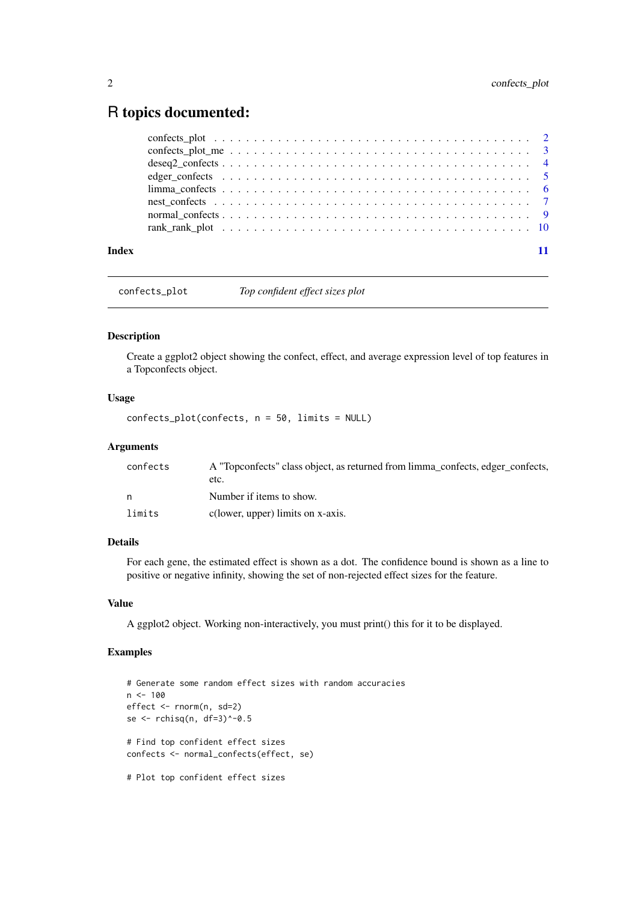### <span id="page-1-0"></span>R topics documented:

|              | edger confects $\ldots \ldots \ldots \ldots \ldots \ldots \ldots \ldots \ldots \ldots \ldots \ldots \ldots$ |
|--------------|-------------------------------------------------------------------------------------------------------------|
|              |                                                                                                             |
|              |                                                                                                             |
|              |                                                                                                             |
|              |                                                                                                             |
| <b>Index</b> |                                                                                                             |
|              |                                                                                                             |

confects\_plot *Top confident effect sizes plot*

#### Description

Create a ggplot2 object showing the confect, effect, and average expression level of top features in a Topconfects object.

#### Usage

confects\_plot(confects, n = 50, limits = NULL)

#### Arguments

| confects | A "Topconfects" class object, as returned from limma_confects, edger_confects, |
|----------|--------------------------------------------------------------------------------|
|          | etc.                                                                           |
| n        | Number if items to show.                                                       |
| limits   | c(lower, upper) limits on x-axis.                                              |

#### Details

For each gene, the estimated effect is shown as a dot. The confidence bound is shown as a line to positive or negative infinity, showing the set of non-rejected effect sizes for the feature.

#### Value

A ggplot2 object. Working non-interactively, you must print() this for it to be displayed.

```
# Generate some random effect sizes with random accuracies
n < -100effect <- rnorm(n, sd=2)
se <- rchisq(n, df=3)^-0.5
# Find top confident effect sizes
confects <- normal_confects(effect, se)
# Plot top confident effect sizes
```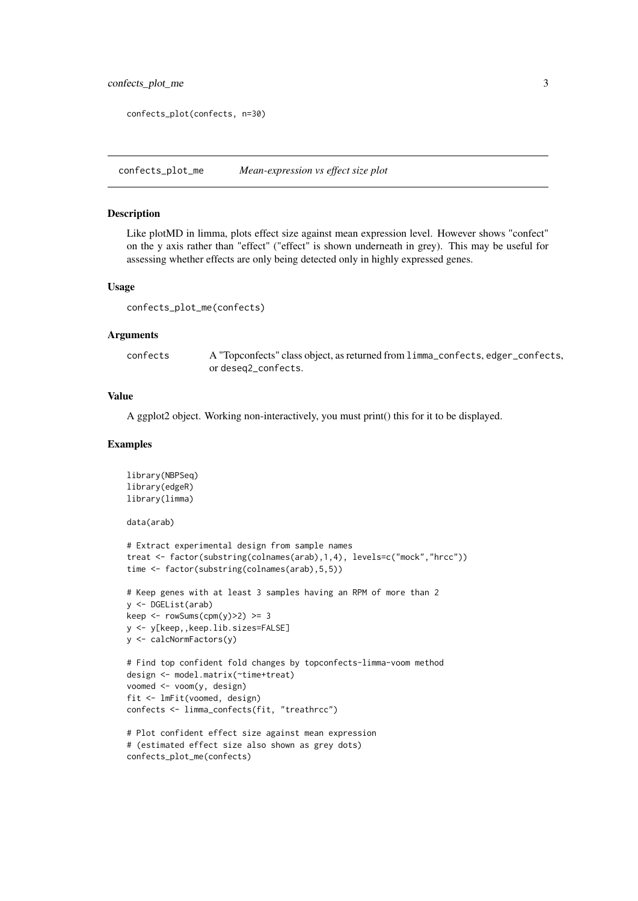```
confects_plot(confects, n=30)
```
confects\_plot\_me *Mean-expression vs effect size plot*

#### Description

Like plotMD in limma, plots effect size against mean expression level. However shows "confect" on the y axis rather than "effect" ("effect" is shown underneath in grey). This may be useful for assessing whether effects are only being detected only in highly expressed genes.

#### Usage

confects\_plot\_me(confects)

#### Arguments

confects A "Topconfects" class object, as returned from limma\_confects, edger\_confects, or deseq2\_confects.

#### Value

A ggplot2 object. Working non-interactively, you must print() this for it to be displayed.

```
library(NBPSeq)
library(edgeR)
library(limma)
data(arab)
# Extract experimental design from sample names
treat <- factor(substring(colnames(arab),1,4), levels=c("mock","hrcc"))
time <- factor(substring(colnames(arab),5,5))
# Keep genes with at least 3 samples having an RPM of more than 2
y <- DGEList(arab)
keep \le rowSums(cpm(y)>2) >= 3
y <- y[keep,,keep.lib.sizes=FALSE]
y <- calcNormFactors(y)
# Find top confident fold changes by topconfects-limma-voom method
design <- model.matrix(~time+treat)
voomed <- voom(y, design)
fit <- lmFit(voomed, design)
confects <- limma_confects(fit, "treathrcc")
# Plot confident effect size against mean expression
# (estimated effect size also shown as grey dots)
confects_plot_me(confects)
```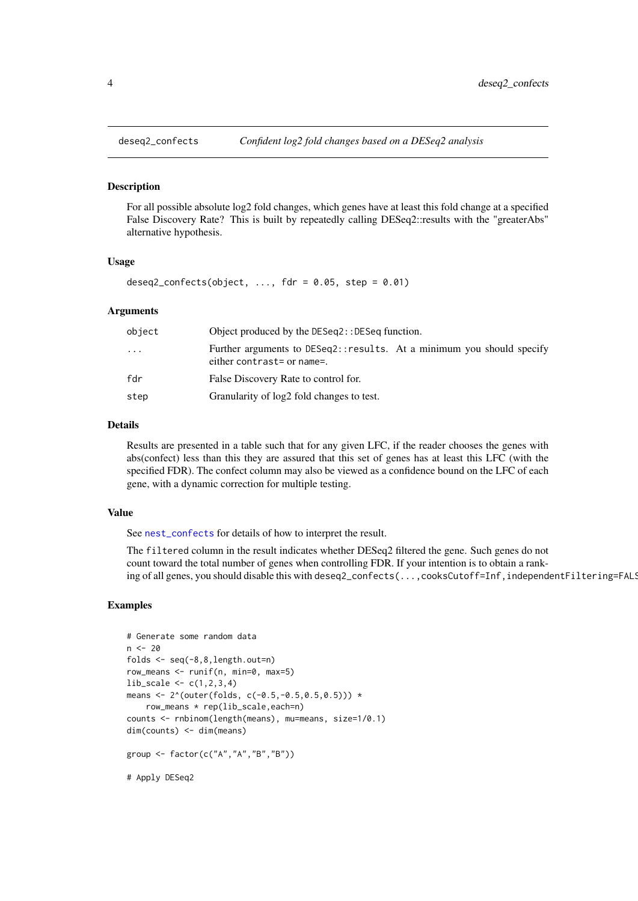<span id="page-3-0"></span>

#### Description

For all possible absolute log2 fold changes, which genes have at least this fold change at a specified False Discovery Rate? This is built by repeatedly calling DESeq2::results with the "greaterAbs" alternative hypothesis.

#### Usage

deseq2\_confects(object,  $\ldots$ , fdr = 0.05, step = 0.01)

#### Arguments

| object   | Object produced by the DESeq2:: DESeq function.                                                     |
|----------|-----------------------------------------------------------------------------------------------------|
| $\cdots$ | Further arguments to DESeq2::results. At a minimum you should specify<br>either contrast= or name=. |
| fdr      | False Discovery Rate to control for.                                                                |
| step     | Granularity of log2 fold changes to test.                                                           |

#### Details

Results are presented in a table such that for any given LFC, if the reader chooses the genes with abs(confect) less than this they are assured that this set of genes has at least this LFC (with the specified FDR). The confect column may also be viewed as a confidence bound on the LFC of each gene, with a dynamic correction for multiple testing.

#### Value

See [nest\\_confects](#page-6-1) for details of how to interpret the result.

The filtered column in the result indicates whether DESeq2 filtered the gene. Such genes do not count toward the total number of genes when controlling FDR. If your intention is to obtain a ranking of all genes, you should disable this with deseq2\_confects(...,cooksCutoff=Inf,independentFiltering=FALS

```
# Generate some random data
n < - 20folds <- seq(-8,8,length.out=n)
row_means <- runif(n, min=0, max=5)
lib\_scale \leftarrow c(1, 2, 3, 4)means <- 2^*(outer(folds, c(-0.5, -0.5, 0.5, 0.5))) *
    row_means * rep(lib_scale,each=n)
counts <- rnbinom(length(means), mu=means, size=1/0.1)
dim(counts) <- dim(means)
group <- factor(c("A","A","B","B"))
# Apply DESeq2
```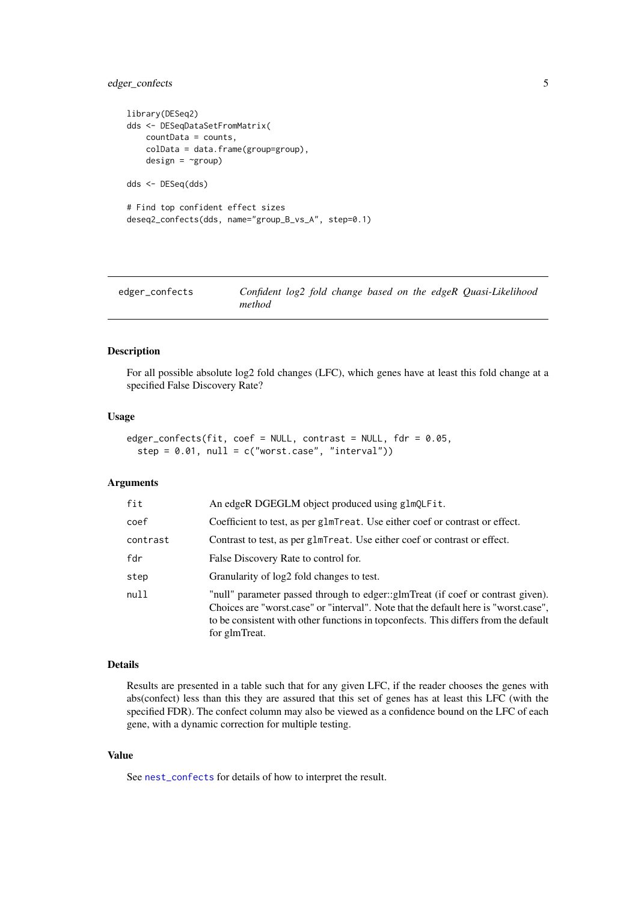#### <span id="page-4-0"></span>edger\_confects 5

```
library(DESeq2)
dds <- DESeqDataSetFromMatrix(
    countData = counts,
    colData = data.frame(group=group),
    design = \text{``group)}dds <- DESeq(dds)
# Find top confident effect sizes
deseq2_confects(dds, name="group_B_vs_A", step=0.1)
```

| edger_confects |        |  |  |  | Confident log2 fold change based on the edgeR Quasi-Likelihood |
|----------------|--------|--|--|--|----------------------------------------------------------------|
|                | method |  |  |  |                                                                |

#### Description

For all possible absolute log2 fold changes (LFC), which genes have at least this fold change at a specified False Discovery Rate?

#### Usage

```
edger_confects(fit, coef = NULL, contrast = NULL, fdr = 0.05,
  step = 0.01, null = c("worst-case", "interval")
```
#### Arguments

| fit      | An edgeR DGEGLM object produced using glmQLFit.                                                                                                                                                                                                                                |
|----------|--------------------------------------------------------------------------------------------------------------------------------------------------------------------------------------------------------------------------------------------------------------------------------|
| coef     | Coefficient to test, as per glmTreat. Use either coef or contrast or effect.                                                                                                                                                                                                   |
| contrast | Contrast to test, as per glmTreat. Use either coef or contrast or effect.                                                                                                                                                                                                      |
| fdr      | False Discovery Rate to control for.                                                                                                                                                                                                                                           |
| step     | Granularity of log2 fold changes to test.                                                                                                                                                                                                                                      |
| null     | "null" parameter passed through to edger::glmTreat (if coef or contrast given).<br>Choices are "worst.case" or "interval". Note that the default here is "worst.case",<br>to be consistent with other functions in topconfects. This differs from the default<br>for glmTreat. |

#### Details

Results are presented in a table such that for any given LFC, if the reader chooses the genes with abs(confect) less than this they are assured that this set of genes has at least this LFC (with the specified FDR). The confect column may also be viewed as a confidence bound on the LFC of each gene, with a dynamic correction for multiple testing.

#### Value

See [nest\\_confects](#page-6-1) for details of how to interpret the result.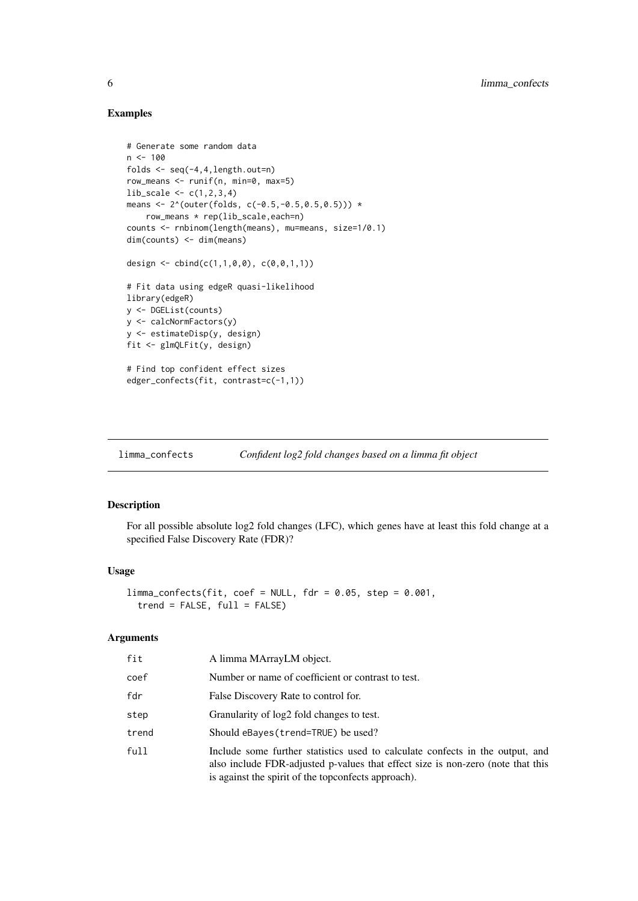#### Examples

```
# Generate some random data
n < -100folds <- seq(-4,4,length.out=n)
row_means <- runif(n, min=0, max=5)
lib\_scale \leftarrow c(1, 2, 3, 4)means <- 2^*(outer(folds, c(-0.5, -0.5, 0.5, 0.5))) *row_means * rep(lib_scale,each=n)
counts <- rnbinom(length(means), mu=means, size=1/0.1)
dim(counts) <- dim(means)
design <- cbind(c(1,1,0,0), c(0,0,1,1))
# Fit data using edgeR quasi-likelihood
library(edgeR)
y <- DGEList(counts)
y <- calcNormFactors(y)
y <- estimateDisp(y, design)
fit <- glmQLFit(y, design)
# Find top confident effect sizes
edger_confects(fit, contrast=c(-1,1))
```
limma\_confects *Confident log2 fold changes based on a limma fit object*

#### Description

For all possible absolute log2 fold changes (LFC), which genes have at least this fold change at a specified False Discovery Rate (FDR)?

#### Usage

```
limma\_confects(fit, coef = NULL, fdr = 0.05, step = 0.001,trend = FALSE, full = FALSE)
```
#### Arguments

| fit   | A limma MArrayLM object.                                                                                                                                                                                                |
|-------|-------------------------------------------------------------------------------------------------------------------------------------------------------------------------------------------------------------------------|
| coef  | Number or name of coefficient or contrast to test.                                                                                                                                                                      |
| fdr   | False Discovery Rate to control for.                                                                                                                                                                                    |
| step  | Granularity of log2 fold changes to test.                                                                                                                                                                               |
| trend | Should eBayes (trend=TRUE) be used?                                                                                                                                                                                     |
| full  | Include some further statistics used to calculate confects in the output, and<br>also include FDR-adjusted p-values that effect size is non-zero (note that this<br>is against the spirit of the topconfects approach). |

<span id="page-5-0"></span>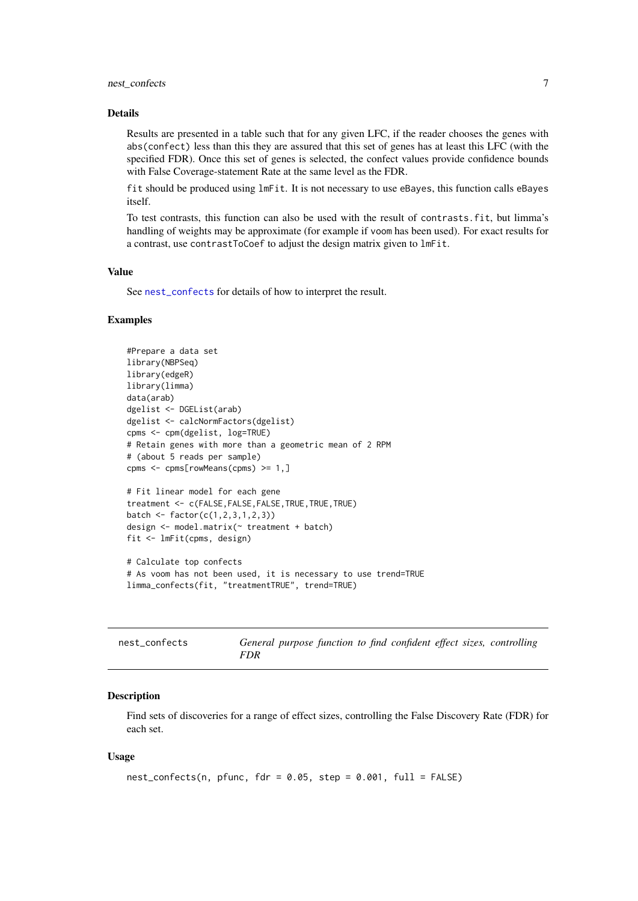#### <span id="page-6-0"></span>nest\_confects 7

#### Details

Results are presented in a table such that for any given LFC, if the reader chooses the genes with abs(confect) less than this they are assured that this set of genes has at least this LFC (with the specified FDR). Once this set of genes is selected, the confect values provide confidence bounds with False Coverage-statement Rate at the same level as the FDR.

fit should be produced using lmFit. It is not necessary to use eBayes, this function calls eBayes itself.

To test contrasts, this function can also be used with the result of contrasts.fit, but limma's handling of weights may be approximate (for example if voom has been used). For exact results for a contrast, use contrastToCoef to adjust the design matrix given to lmFit.

#### Value

See [nest\\_confects](#page-6-1) for details of how to interpret the result.

#### Examples

```
#Prepare a data set
library(NBPSeq)
library(edgeR)
library(limma)
data(arab)
dgelist <- DGEList(arab)
dgelist <- calcNormFactors(dgelist)
cpms <- cpm(dgelist, log=TRUE)
# Retain genes with more than a geometric mean of 2 RPM
# (about 5 reads per sample)
cpms <- cpms[rowMeans(cpms) >= 1,]
# Fit linear model for each gene
treatment <- c(FALSE,FALSE,FALSE,TRUE,TRUE,TRUE)
batch <- factor(c(1, 2, 3, 1, 2, 3))design <- model.matrix(~ treatment + batch)
fit <- lmFit(cpms, design)
# Calculate top confects
# As voom has not been used, it is necessary to use trend=TRUE
limma_confects(fit, "treatmentTRUE", trend=TRUE)
```
<span id="page-6-1"></span>

| nest confects | General purpose function to find confident effect sizes, controlling |  |  |
|---------------|----------------------------------------------------------------------|--|--|
|               | FDR                                                                  |  |  |

#### Description

Find sets of discoveries for a range of effect sizes, controlling the False Discovery Rate (FDR) for each set.

#### Usage

```
nest\_confects(n, pfunc, fdr = 0.05, step = 0.001, full = FALSE)
```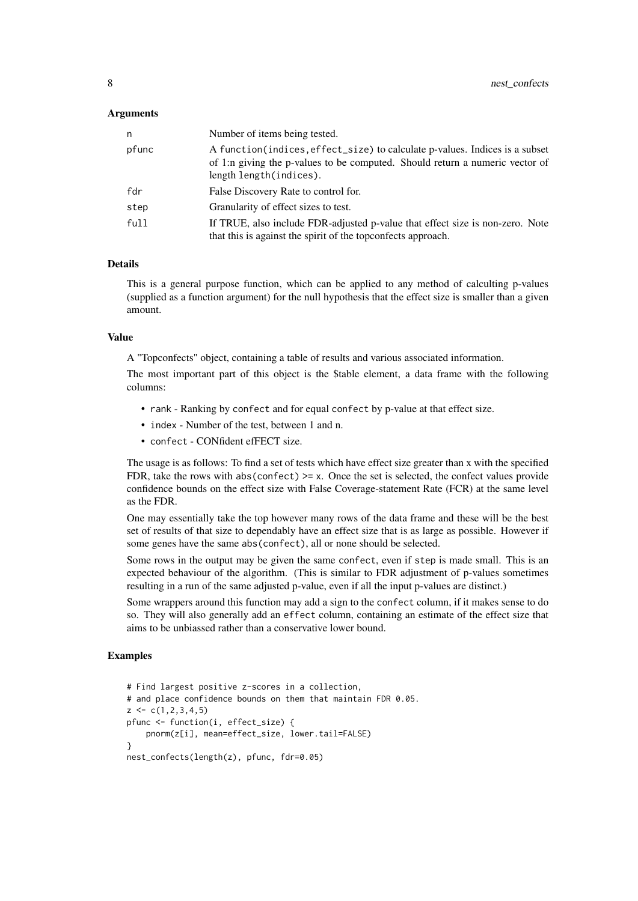#### Arguments

| n.    | Number of items being tested.                                                                                                                                                            |
|-------|------------------------------------------------------------------------------------------------------------------------------------------------------------------------------------------|
| pfunc | A function (indices, effect_size) to calculate p-values. Indices is a subset<br>of 1:n giving the p-values to be computed. Should return a numeric vector of<br>length length (indices). |
| fdr   | False Discovery Rate to control for.                                                                                                                                                     |
| step  | Granularity of effect sizes to test.                                                                                                                                                     |
| full  | If TRUE, also include FDR-adjusted p-value that effect size is non-zero. Note<br>that this is against the spirit of the topconfects approach.                                            |

#### Details

This is a general purpose function, which can be applied to any method of calculting p-values (supplied as a function argument) for the null hypothesis that the effect size is smaller than a given amount.

#### Value

A "Topconfects" object, containing a table of results and various associated information.

The most important part of this object is the \$table element, a data frame with the following columns:

- rank Ranking by confect and for equal confect by p-value at that effect size.
- index Number of the test, between 1 and n.
- confect CONfident efFECT size.

The usage is as follows: To find a set of tests which have effect size greater than x with the specified FDR, take the rows with abs(confect)  $>= x$ . Once the set is selected, the confect values provide confidence bounds on the effect size with False Coverage-statement Rate (FCR) at the same level as the FDR.

One may essentially take the top however many rows of the data frame and these will be the best set of results of that size to dependably have an effect size that is as large as possible. However if some genes have the same abs(confect), all or none should be selected.

Some rows in the output may be given the same confect, even if step is made small. This is an expected behaviour of the algorithm. (This is similar to FDR adjustment of p-values sometimes resulting in a run of the same adjusted p-value, even if all the input p-values are distinct.)

Some wrappers around this function may add a sign to the confect column, if it makes sense to do so. They will also generally add an effect column, containing an estimate of the effect size that aims to be unbiassed rather than a conservative lower bound.

```
# Find largest positive z-scores in a collection,
# and place confidence bounds on them that maintain FDR 0.05.
z \leq c(1, 2, 3, 4, 5)pfunc <- function(i, effect_size) {
    pnorm(z[i], mean=effect_size, lower.tail=FALSE)
}
nest_confects(length(z), pfunc, fdr=0.05)
```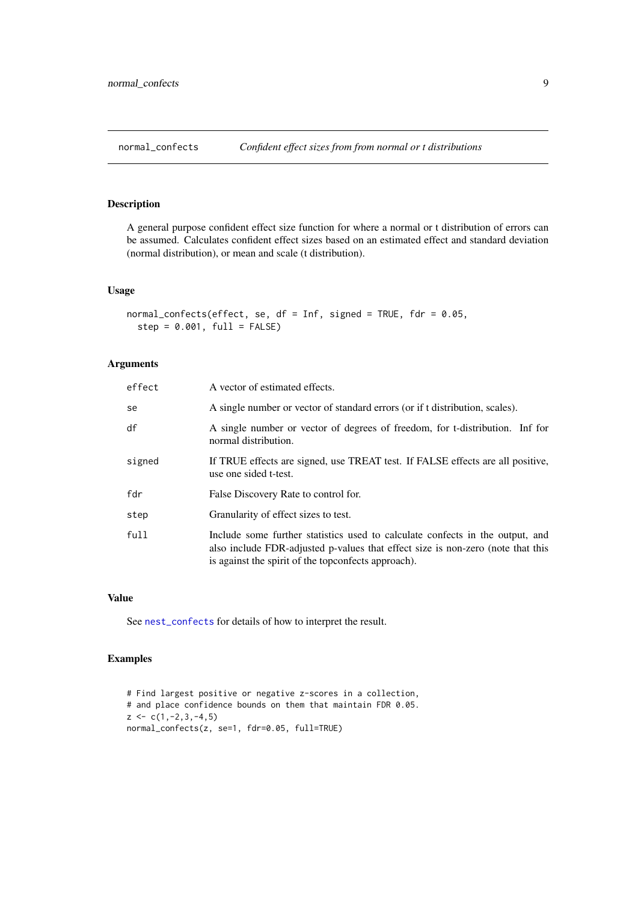<span id="page-8-0"></span>

#### Description

A general purpose confident effect size function for where a normal or t distribution of errors can be assumed. Calculates confident effect sizes based on an estimated effect and standard deviation (normal distribution), or mean and scale (t distribution).

#### Usage

```
normal_confects(effect, se, df = Inf, signed = TRUE, fdr = 0.05,
 step = 0.001, full = FALSE
```
#### Arguments

| effect | A vector of estimated effects.                                                                                                                                                                                          |
|--------|-------------------------------------------------------------------------------------------------------------------------------------------------------------------------------------------------------------------------|
| se     | A single number or vector of standard errors (or if t distribution, scales).                                                                                                                                            |
| df     | A single number or vector of degrees of freedom, for t-distribution. Inf for<br>normal distribution.                                                                                                                    |
| signed | If TRUE effects are signed, use TREAT test. If FALSE effects are all positive,<br>use one sided t-test.                                                                                                                 |
| fdr    | False Discovery Rate to control for.                                                                                                                                                                                    |
| step   | Granularity of effect sizes to test.                                                                                                                                                                                    |
| full   | Include some further statistics used to calculate confects in the output, and<br>also include FDR-adjusted p-values that effect size is non-zero (note that this<br>is against the spirit of the topconfects approach). |

#### Value

See [nest\\_confects](#page-6-1) for details of how to interpret the result.

```
# Find largest positive or negative z-scores in a collection,
# and place confidence bounds on them that maintain FDR 0.05.
z \leftarrow c(1, -2, 3, -4, 5)normal_confects(z, se=1, fdr=0.05, full=TRUE)
```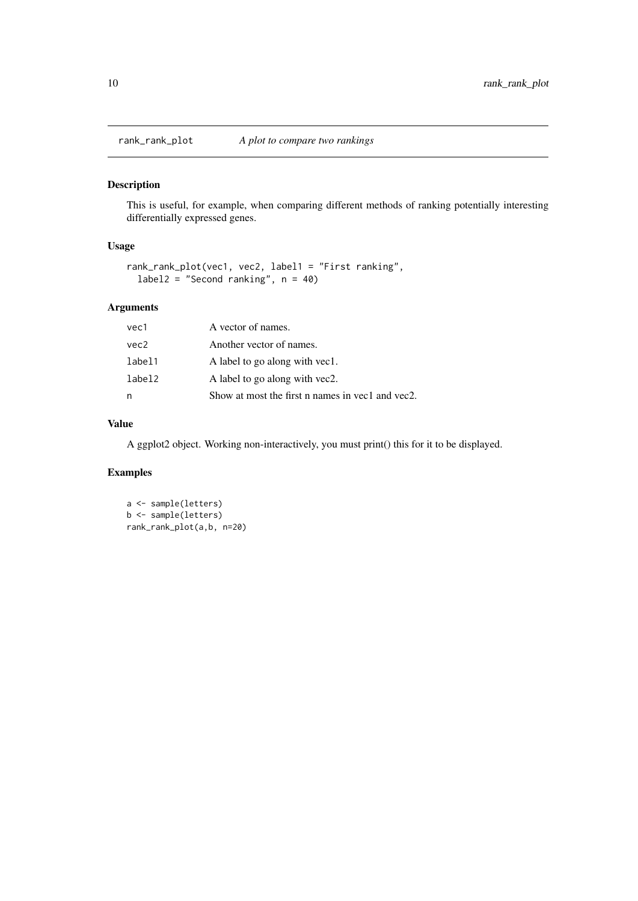<span id="page-9-0"></span>

#### Description

This is useful, for example, when comparing different methods of ranking potentially interesting differentially expressed genes.

#### Usage

```
rank_rank_plot(vec1, vec2, label1 = "First ranking",
 label2 = "Second ranking", n = 40)
```
#### Arguments

| vec1   | A vector of names.                               |
|--------|--------------------------------------------------|
| vec2   | Another vector of names.                         |
| label1 | A label to go along with yec1.                   |
| label2 | A label to go along with yec2.                   |
| n      | Show at most the first n names in vec1 and vec2. |

#### Value

A ggplot2 object. Working non-interactively, you must print() this for it to be displayed.

```
a <- sample(letters)
b <- sample(letters)
rank_rank_plot(a,b, n=20)
```